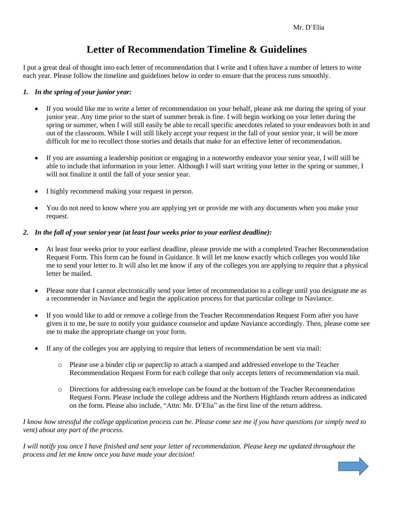## **Letter of Recommendation Timeline & Guidelines**

I put a great deal of thought into each letter of recommendation that I write and I often have a number of letters to write each year. Please follow the timeline and guidelines below in order to ensure that the process runs smoothly.

## *1. In the spring of your junior year:*

- If you would like me to write a letter of recommendation on your behalf, please ask me during the spring of your junior year. Any time prior to the start of summer break is fine. I will begin working on your letter during the spring or summer, when I will still easily be able to recall specific anecdotes related to your endeavors both in and out of the classroom. While I will still likely accept your request in the fall of your senior year, it will be more difficult for me to recollect those stories and details that make for an effective letter of recommendation.
- If you are assuming a leadership position or engaging in a noteworthy endeavor your senior year, I will still be able to include that information in your letter. Although I will start writing your letter in the spring or summer, I will not finalize it until the fall of your senior year.
- I highly recommend making your request in person.
- You do not need to know where you are applying yet or provide me with any documents when you make your request.

## *2. In the fall of your senior year (at least four weeks prior to your earliest deadline):*

- At least four weeks prior to your earliest deadline, please provide me with a completed Teacher Recommendation Request Form. This form can be found in Guidance. It will let me know exactly which colleges you would like me to send your letter to. It will also let me know if any of the colleges you are applying to require that a physical letter be mailed.
- Please note that I cannot electronically send your letter of recommendation to a college until you designate me as a recommender in Naviance and begin the application process for that particular college in Naviance.
- If you would like to add or remove a college from the Teacher Recommendation Request Form after you have given it to me, be sure to notify your guidance counselor and update Naviance accordingly. Then, please come see me to make the appropriate change on your form.
- If any of the colleges you are applying to require that letters of recommendation be sent via mail:
	- o Please use a binder clip or paperclip to attach a stamped and addressed envelope to the Teacher Recommendation Request Form for each college that only accepts letters of recommendation via mail.
	- o Directions for addressing each envelope can be found at the bottom of the Teacher Recommendation Request Form. Please include the college address and the Northern Highlands return address as indicated on the form. Please also include, "Attn: Mr. D'Elia" as the first line of the return address.

*I know how stressful the college application process can be. Please come see me if you have questions (or simply need to vent) about any part of the process.*

*I will notify you once I have finished and sent your letter of recommendation. Please keep me updated throughout the process and let me know once you have made your decision!*